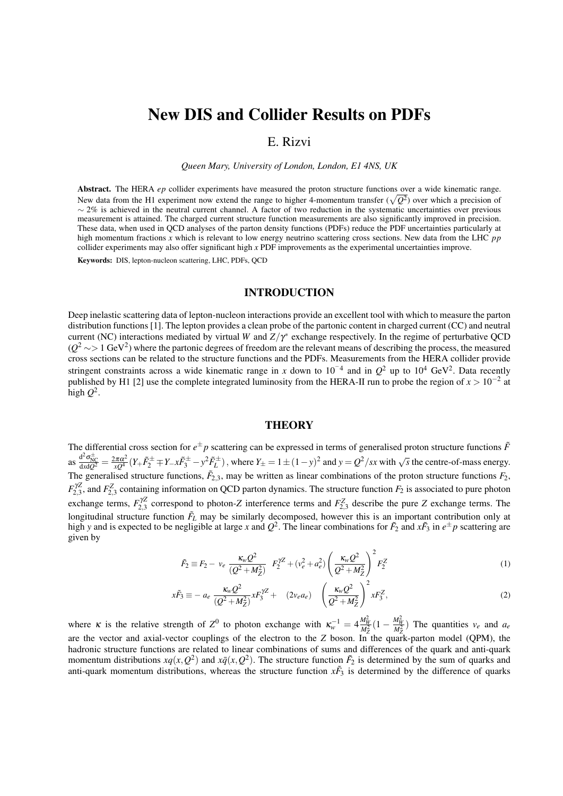# New DIS and Collider Results on PDFs

## E. Rizvi

*Queen Mary, University of London, London, E1 4NS, UK*

Abstract. The HERA *ep* collider experiments have measured the proton structure functions over a wide kinematic range. New data from the H1 experiment now extend the range to higher 4-momentum transfer ( $\sqrt{Q^2}$ ) over which a precision of  $\sim$  2% is achieved in the neutral current channel. A factor of two reduction in the systematic uncertainties over previous measurement is attained. The charged current structure function measurements are also significantly improved in precision. These data, when used in QCD analyses of the parton density functions (PDFs) reduce the PDF uncertainties particularly at high momentum fractions *x* which is relevant to low energy neutrino scattering cross sections. New data from the LHC *pp* collider experiments may also offer significant high *x* PDF improvements as the experimental uncertainties improve.

Keywords: DIS, lepton-nucleon scattering, LHC, PDFs, QCD

#### INTRODUCTION

Deep inelastic scattering data of lepton-nucleon interactions provide an excellent tool with which to measure the parton distribution functions [1]. The lepton provides a clean probe of the partonic content in charged current (CC) and neutral current (NC) interactions mediated by virtual *W* and  $Z/\gamma^*$  exchange respectively. In the regime of perturbative QCD  $(Q^2 \sim 1 \text{ GeV}^2)$  where the partonic degrees of freedom are the relevant means of describing the process, the measured cross sections can be related to the structure functions and the PDFs. Measurements from the HERA collider provide stringent constraints across a wide kinematic range in *x* down to 10<sup>-4</sup> and in  $Q^2$  up to 10<sup>4</sup> GeV<sup>2</sup>. Data recently published by H1 [2] use the complete integrated luminosity from the HERA-II run to probe the region of  $x > 10^{-2}$  at high  $Q^2$ .

#### **THEORY**

The differential cross section for  $e^{\pm}p$  scattering can be expressed in terms of generalised proton structure functions  $\tilde{F}$ as  $\frac{d^2\sigma_{\text{MC}}^{\pm}}{dxdQ^2} = \frac{2\pi\alpha^2}{xQ^4}(Y+\tilde{F}_2^{\pm}+Y-x\tilde{F}_3^{\pm}-y^2\tilde{F}_L^{\pm})$ , where  $Y_{\pm} = 1 \pm (1-y)^2$  and  $y = Q^2/sx$  with  $\sqrt{s}$  the centre-of-mass energy. The generalised structure functions,  $\tilde{F}_{2,3}$ , may be written as linear combinations of the proton structure functions  $F_2$ ,  $F_{2,3}^{\gamma Z}$ , and  $F_{2,3}^Z$  containing information on QCD parton dynamics. The structure function  $F_2$  is associated to pure photon exchange terms,  $F_{2,3}^{\gamma Z}$  correspond to photon-*Z* interference terms and  $F_{2,3}^Z$  describe the pure *Z* exchange terms. The longitudinal structure function  $\tilde{F}_L$  may be similarly decomposed, however this is an important contribution only at high *y* and is expected to be negligible at large *x* and  $Q^2$ . The linear combinations for  $\tilde{F}_2$  and  $x\tilde{F}_3$  in  $e^{\pm}p$  scattering are given by

$$
\tilde{F}_2 \equiv F_2 - v_e \frac{\kappa_w Q^2}{(Q^2 + M_Z^2)} \quad F_2^{\gamma Z} + (v_e^2 + a_e^2) \left(\frac{\kappa_w Q^2}{Q^2 + M_Z^2}\right)^2 F_2^Z \tag{1}
$$

$$
x\tilde{F}_3 \equiv -a_e \frac{\kappa_w Q^2}{(Q^2 + M_Z^2)} xF_3^{\gamma Z} + (2v_e a_e) \left(\frac{\kappa_w Q^2}{Q^2 + M_Z^2}\right)^2 xF_3^Z,
$$
 (2)

where *κ* is the relative strength of  $Z^0$  to photon exchange with  $\kappa_w^{-1} = 4 \frac{M_W^2}{M_Z^2} (1 - \frac{M_W^2}{M_Z^2})$  The quantities  $v_e$  and  $a_e$ are the vector and axial-vector couplings of the electron to the *Z* boson. In the quark-parton model (QPM), the hadronic structure functions are related to linear combinations of sums and differences of the quark and anti-quark momentum distributions  $xq(x, Q^2)$  and  $x\bar{q}(x, Q^2)$ . The structure function  $\tilde{F}_2$  is determined by the sum of quarks and anti-quark momentum distributions, whereas the structure function  $x\tilde{F}_3$  is determined by the difference of quarks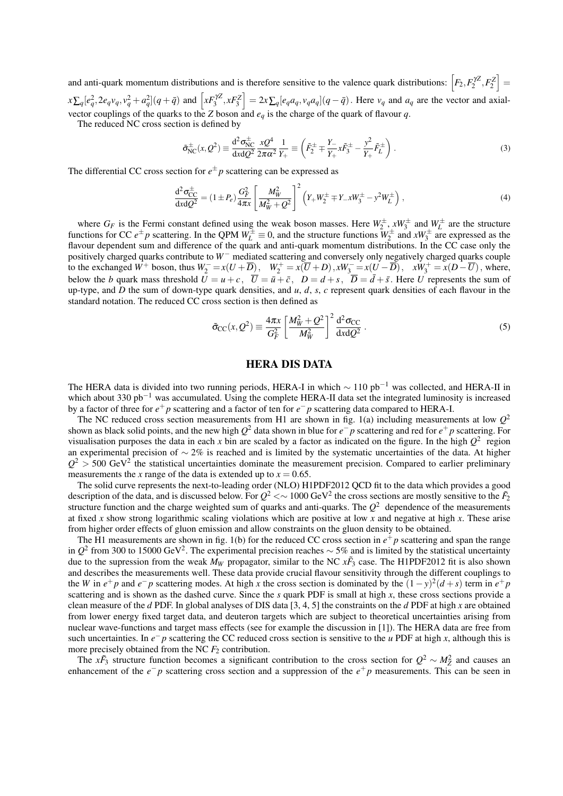and anti-quark momentum distributions and is therefore sensitive to the valence quark distributions:  $\left[F_2, F_2^{\gamma Z}, F_2^Z\right] =$  $x\sum_q [e_q^2, 2e_qv_q, v_q^2 + a_q^2](q+\bar{q})$  and  $\left[xF_3^{\gamma Z}, xF_3^Z\right] = 2x\sum_q [e_qa_q, v_qa_q](q-\bar{q})$ . Here  $v_q$  and  $a_q$  are the vector and axialvector couplings of the quarks to the *Z* boson and *e<sup>q</sup>* is the charge of the quark of flavour *q*.

The reduced NC cross section is defined by

$$
\tilde{\sigma}_{NC}^{\pm}(x,Q^2) \equiv \frac{d^2 \sigma_{NC}^{\pm}}{dx dQ^2} \frac{x Q^4}{2\pi \alpha^2} \frac{1}{Y_+} \equiv \left(\tilde{F}_2^{\pm} \mp \frac{Y_-}{Y_+} x \tilde{F}_3^{\pm} - \frac{y^2}{Y_+} \tilde{F}_L^{\pm}\right). \tag{3}
$$

The differential CC cross section for  $e^{\pm}p$  scattering can be expressed as

$$
\frac{d^2 \sigma_{CC}^{\pm}}{dx dQ^2} = (1 \pm P_e) \frac{G_F^2}{4\pi x} \left[ \frac{M_W^2}{M_W^2 + Q^2} \right]^2 \left( Y_+ W_2^{\pm} \mp Y_- x W_3^{\pm} - y^2 W_L^{\pm} \right), \tag{4}
$$

where  $G_F$  is the Fermi constant defined using the weak boson masses. Here  $W_2^{\pm}$ ,  $xW_3^{\pm}$  and  $W_L^{\pm}$  are the structure functions for CC  $e^{\pm}p$  scattering. In the QPM  $W_L^{\pm} \equiv 0$ , and the structure functions  $W_2^{\pm}$  and  $xW_3^{\pm}$  are expressed as the flavour dependent sum and difference of the quark and anti-quark momentum distributions. In the CC case only the positively charged quarks contribute to *W*<sup>−</sup> mediated scattering and conversely only negatively charged quarks couple to the exchanged  $W^+$  boson, thus  $W_2^- = x(U + \overline{D})$ ,  $W_2^+ = x(\overline{U} + D)$ ,  $xW_3^- = x(U - \overline{D})$ ,  $xW_3^+ = x(D - \overline{U})$ , where, below the *b* quark mass threshold  $U = u + c$ ,  $\overline{U} = \overline{u} + \overline{c}$ ,  $D = d + s$ ,  $\overline{D} = \overline{d} + \overline{s}$ . Here *U* represents the sum of up-type, and *D* the sum of down-type quark densities, and *u*, *d*, *s*, *c* represent quark densities of each flavour in the standard notation. The reduced CC cross section is then defined as

$$
\tilde{\sigma}_{CC}(x, Q^2) \equiv \frac{4\pi x}{G_F^2} \left[ \frac{M_W^2 + Q^2}{M_W^2} \right]^2 \frac{d^2 \sigma_{CC}}{dxdQ^2} \,. \tag{5}
$$

## HERA DIS DATA

The HERA data is divided into two running periods, HERA-I in which  $\sim 110$  pb<sup>-1</sup> was collected, and HERA-II in which about 330 pb<sup>-1</sup> was accumulated. Using the complete HERA-II data set the integrated luminosity is increased by a factor of three for  $e^+p$  scattering and a factor of ten for  $e^-p$  scattering data compared to HERA-I.

The NC reduced cross section measurements from H1 are shown in fig.  $1(a)$  including measurements at low  $Q^2$ shown as black solid points, and the new high  $Q^2$  data shown in blue for  $e^-p$  scattering and red for  $e^+p$  scattering. For visualisation purposes the data in each x bin are scaled by a factor as indicated on the figure. In the high  $Q^2$  region an experimental precision of ∼ 2% is reached and is limited by the systematic uncertainties of the data. At higher  $Q^2 > 500$  GeV<sup>2</sup> the statistical uncertainties dominate the measurement precision. Compared to earlier preliminary measurements the *x* range of the data is extended up to  $x = 0.65$ .

The solid curve represents the next-to-leading order (NLO) H1PDF2012 QCD fit to the data which provides a good description of the data, and is discussed below. For  $Q^2 < \sim 1000$  GeV<sup>2</sup> the cross sections are mostly sensitive to the  $\tilde{F}_2$ structure function and the charge weighted sum of quarks and anti-quarks. The  $Q^2$  dependence of the measurements at fixed *x* show strong logarithmic scaling violations which are positive at low *x* and negative at high *x*. These arise from higher order effects of gluon emission and allow constraints on the gluon density to be obtained.

The H1 measurements are shown in fig. 1(b) for the reduced CC cross section in  $e^+p$  scattering and span the range in *Q* 2 from 300 to 15000 GeV<sup>2</sup> . The experimental precision reaches ∼ 5% and is limited by the statistical uncertainty due to the supression from the weak  $M_W$  propagator, similar to the NC  $x\tilde{F}_3$  case. The H1PDF2012 fit is also shown and describes the measurements well. These data provide crucial flavour sensitivity through the different couplings to the *W* in  $e^+p$  and  $e^-p$  scattering modes. At high *x* the cross section is dominated by the  $(1-y)^2(d+s)$  term in  $e^+p$ scattering and is shown as the dashed curve. Since the *s* quark PDF is small at high *x*, these cross sections provide a clean measure of the *d* PDF. In global analyses of DIS data [3, 4, 5] the constraints on the *d* PDF at high *x* are obtained from lower energy fixed target data, and deuteron targets which are subject to theoretical uncertainties arising from nuclear wave-functions and target mass effects (see for example the discussion in [1]). The HERA data are free from such uncertainties. In  $e^-p$  scattering the CC reduced cross section is sensitive to the *u* PDF at high *x*, although this is more precisely obtained from the NC  $F_2$  contribution.

The *xF*<sub>3</sub> structure function becomes a significant contribution to the cross section for  $Q^2 \sim M_Z^2$  and causes and enhancement of the  $e^-p$  scattering cross section and a suppression of the  $e^+p$  measurements. This can be seen in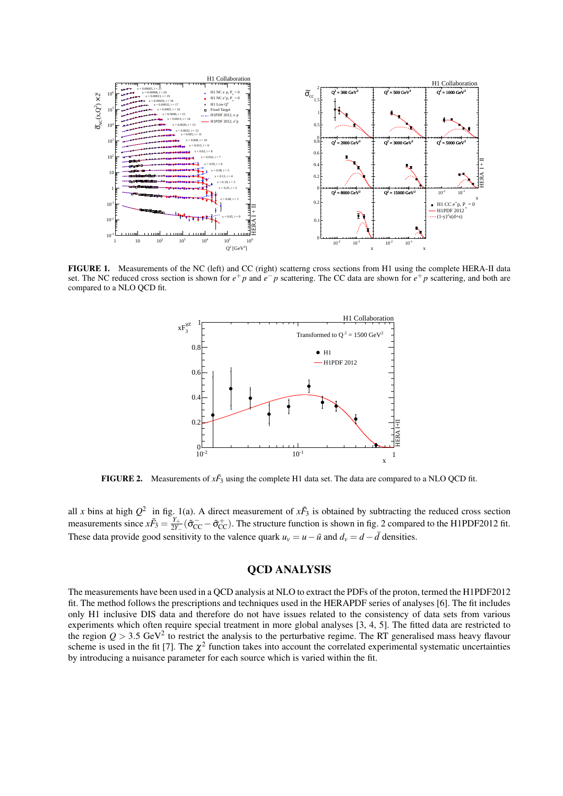

FIGURE 1. Measurements of the NC (left) and CC (right) scatterng cross sections from H1 using the complete HERA-II data set. The NC reduced cross section is shown for  $e^+p$  and  $e^-p$  scattering. The CC data are shown for  $e^+p$  scattering, and both are compared to a NLO QCD fit.



**FIGURE 2.** Measurements of  $x\tilde{F}_3$  using the complete H1 data set. The data are compared to a NLO QCD fit.

all *x* bins at high  $Q^2$  in fig. 1(a). A direct measurement of  $x\tilde{F}_3$  is obtained by subtracting the reduced cross section measurements since  $x\tilde{F}_3 = \frac{Y_+}{2Y_+}$  $\frac{Y_+}{2Y_-}$  ( $\tilde{\sigma}_{CC}^-$  –  $\tilde{\sigma}_{CC}^+$ ). The structure function is shown in fig. 2 compared to the H1PDF2012 fit. These data provide good sensitivity to the valence quark  $u<sub>v</sub> = u - \bar{u}$  and  $d<sub>v</sub> = d - \bar{d}$  densities.

# QCD ANALYSIS

The measurements have been used in a QCD analysis at NLO to extract the PDFs of the proton, termed the H1PDF2012 fit. The method follows the prescriptions and techniques used in the HERAPDF series of analyses [6]. The fit includes only H1 inclusive DIS data and therefore do not have issues related to the consistency of data sets from various experiments which often require special treatment in more global analyses [3, 4, 5]. The fitted data are restricted to the region  $Q > 3.5 \text{ GeV}^2$  to restrict the analysis to the perturbative regime. The RT generalised mass heavy flavour scheme is used in the fit [7]. The  $\chi^2$  function takes into account the correlated experimental systematic uncertainties by introducing a nuisance parameter for each source which is varied within the fit.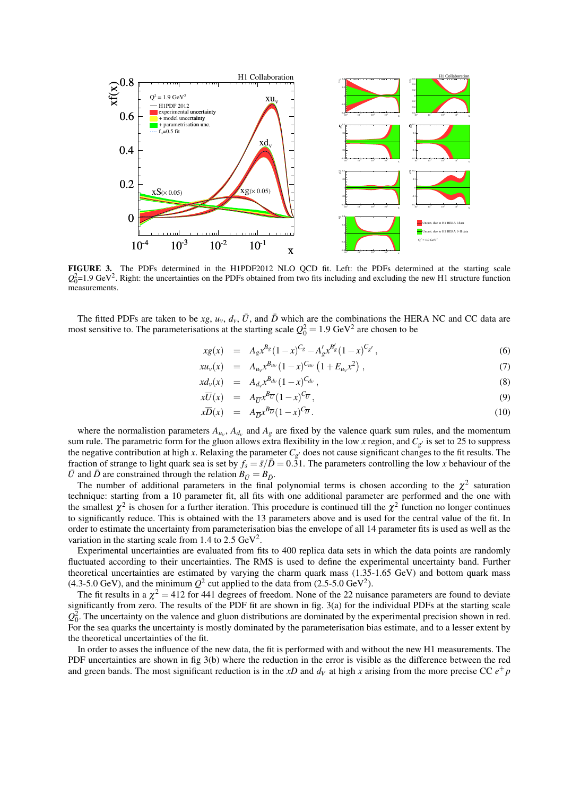

FIGURE 3. The PDFs determined in the H1PDF2012 NLO QCD fit. Left: the PDFs determined at the starting scale  $Q_0^2$ =1.9 GeV<sup>2</sup>. Right: the uncertainties on the PDFs obtained from two fits including and excluding the new H1 structure function measurements.

The fitted PDFs are taken to be  $xg$ ,  $u_v$ ,  $d_v$ ,  $\bar{U}$ , and  $\bar{D}$  which are the combinations the HERA NC and CC data are most sensitive to. The parameterisations at the starting scale  $Q_0^2 = 1.9 \text{ GeV}^2$  are chosen to be

$$
xg(x) = A_g x^{B_g} (1-x)^{C_g} - A'_g x^{B'_g} (1-x)^{C_{g'}}, \qquad (6)
$$

$$
xu_{\nu}(x) = A_{u_{\nu}}x^{B_{u_{\nu}}}(1-x)^{C_{u_{\nu}}}(1+E_{u_{\nu}}x^2), \qquad (7)
$$

$$
x d_{\nu}(x) = A_{d_{\nu}} x^{B_{d_{\nu}}}(1-x)^{C_{d_{\nu}}}, \qquad (8)
$$

$$
x\overline{U}(x) = A_{\overline{U}}x^{B_{\overline{U}}}(1-x)^{C_{\overline{U}}}, \qquad (9)
$$

$$
x\overline{D}(x) = A_{\overline{D}}x^{B_{\overline{D}}}(1-x)^{C_{\overline{D}}}.
$$
\n(10)

where the normalistion parameters  $A_{u_v}$ ,  $A_{d_v}$  and  $A_g$  are fixed by the valence quark sum rules, and the momentum sum rule. The parametric form for the gluon allows extra flexibility in the low x region, and  $C_{g'}$  is set to 25 to suppress the negative contribution at high *x*. Relaxing the parameter  $C_{g'}$  does not cause significant changes to the fit results. The fraction of strange to light quark sea is set by  $f_s = \bar{s}/\bar{D} = 0.31$ . The parameters controlling the low *x* behaviour of the *U* and *D* are constrained through the relation  $B_{\bar{U}} = B_{\bar{D}}$ .

The number of additional parameters in the final polynomial terms is chosen according to the  $\chi^2$  saturation technique: starting from a 10 parameter fit, all fits with one additional parameter are performed and the one with the smallest  $\chi^2$  is chosen for a further iteration. This procedure is continued till the  $\chi^2$  function no longer continues to significantly reduce. This is obtained with the 13 parameters above and is used for the central value of the fit. In order to estimate the uncertainty from parameterisation bias the envelope of all 14 parameter fits is used as well as the variation in the starting scale from 1.4 to 2.5  $GeV^2$ .

Experimental uncertainties are evaluated from fits to 400 replica data sets in which the data points are randomly fluctuated according to their uncertainties. The RMS is used to define the experimental uncertainty band. Further theoretical uncertainties are estimated by varying the charm quark mass (1.35-1.65 GeV) and bottom quark mass  $(4.3\n-5.0 \text{ GeV})$ , and the minimum  $Q^2$  cut applied to the data from  $(2.5\n-5.0 \text{ GeV}^2)$ .

The fit results in a  $\chi^2 = 412$  for 441 degrees of freedom. None of the 22 nuisance parameters are found to deviate significantly from zero. The results of the PDF fit are shown in fig. 3(a) for the individual PDFs at the starting scale  $Q_0^2$ . The uncertainty on the valence and gluon distributions are dominated by the experimental precision shown in red. For the sea quarks the uncertainty is mostly dominated by the parameterisation bias estimate, and to a lesser extent by the theoretical uncertainties of the fit.

In order to asses the influence of the new data, the fit is performed with and without the new H1 measurements. The PDF uncertainties are shown in fig 3(b) where the reduction in the error is visible as the difference between the red and green bands. The most significant reduction is in the  $xD$  and  $d<sub>V</sub>$  at high x arising from the more precise CC  $e<sup>+</sup> p$